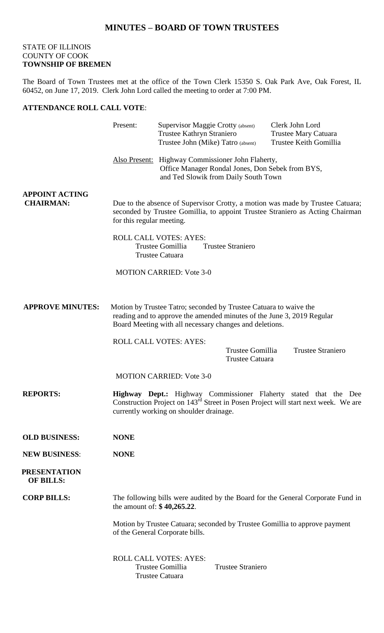## STATE OF ILLINOIS COUNTY OF COOK **TOWNSHIP OF BREMEN**

The Board of Town Trustees met at the office of the Town Clerk 15350 S. Oak Park Ave, Oak Forest, IL 60452, on June 17, 2019. Clerk John Lord called the meeting to order at 7:00 PM.

## **ATTENDANCE ROLL CALL VOTE**:

|                                           | Present:                                                                                                                                                                                                      | Supervisor Maggie Crotty (absent)<br>Trustee Kathryn Straniero<br>Trustee John (Mike) Tatro (absent) |                                     | Clerk John Lord<br><b>Trustee Mary Catuara</b><br>Trustee Keith Gomillia |
|-------------------------------------------|---------------------------------------------------------------------------------------------------------------------------------------------------------------------------------------------------------------|------------------------------------------------------------------------------------------------------|-------------------------------------|--------------------------------------------------------------------------|
|                                           | Also Present: Highway Commissioner John Flaherty,<br>Office Manager Rondal Jones, Don Sebek from BYS,<br>and Ted Slowik from Daily South Town                                                                 |                                                                                                      |                                     |                                                                          |
| <b>APPOINT ACTING</b><br><b>CHAIRMAN:</b> | Due to the absence of Supervisor Crotty, a motion was made by Trustee Catuara;<br>seconded by Trustee Gomillia, to appoint Trustee Straniero as Acting Chairman<br>for this regular meeting.                  |                                                                                                      |                                     |                                                                          |
|                                           | ROLL CALL VOTES: AYES:<br>Trustee Gomillia<br><b>Trustee Straniero</b><br><b>Trustee Catuara</b>                                                                                                              |                                                                                                      |                                     |                                                                          |
|                                           |                                                                                                                                                                                                               | <b>MOTION CARRIED: Vote 3-0</b>                                                                      |                                     |                                                                          |
| <b>APPROVE MINUTES:</b>                   | Motion by Trustee Tatro; seconded by Trustee Catuara to waive the<br>reading and to approve the amended minutes of the June 3, 2019 Regular<br>Board Meeting with all necessary changes and deletions.        |                                                                                                      |                                     |                                                                          |
|                                           |                                                                                                                                                                                                               | ROLL CALL VOTES: AYES:                                                                               | Trustee Gomillia<br>Trustee Catuara | <b>Trustee Straniero</b>                                                 |
|                                           |                                                                                                                                                                                                               | <b>MOTION CARRIED: Vote 3-0</b>                                                                      |                                     |                                                                          |
| <b>REPORTS:</b>                           | Highway Dept.: Highway Commissioner Flaherty stated that the Dee<br>Construction Project on 143 <sup>rd</sup> Street in Posen Project will start next week. We are<br>currently working on shoulder drainage. |                                                                                                      |                                     |                                                                          |
| <b>OLD BUSINESS:</b>                      | <b>NONE</b>                                                                                                                                                                                                   |                                                                                                      |                                     |                                                                          |
| <b>NEW BUSINESS:</b>                      | <b>NONE</b>                                                                                                                                                                                                   |                                                                                                      |                                     |                                                                          |
| <b>PRESENTATION</b><br><b>OF BILLS:</b>   |                                                                                                                                                                                                               |                                                                                                      |                                     |                                                                          |
| <b>CORP BILLS:</b>                        | The following bills were audited by the Board for the General Corporate Fund in<br>the amount of: $$40,265.22$ .                                                                                              |                                                                                                      |                                     |                                                                          |
|                                           | Motion by Trustee Catuara; seconded by Trustee Gomillia to approve payment<br>of the General Corporate bills.                                                                                                 |                                                                                                      |                                     |                                                                          |
|                                           |                                                                                                                                                                                                               | <b>ROLL CALL VOTES: AYES:</b><br>Trustee Gomillia<br><b>Trustee Catuara</b>                          | <b>Trustee Straniero</b>            |                                                                          |